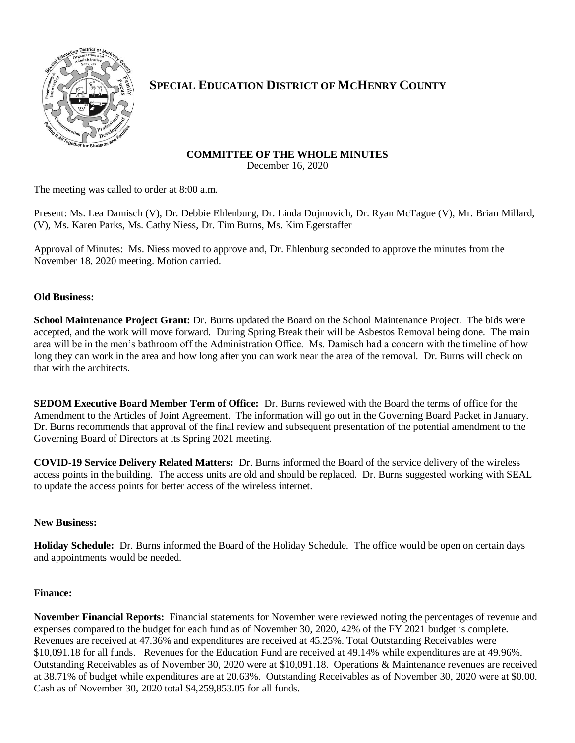

# **SPECIAL EDUCATION DISTRICT OF MCHENRY COUNTY**

## **COMMITTEE OF THE WHOLE MINUTES**

December 16, 2020

The meeting was called to order at 8:00 a.m.

Present: Ms. Lea Damisch (V), Dr. Debbie Ehlenburg, Dr. Linda Dujmovich, Dr. Ryan McTague (V), Mr. Brian Millard, (V), Ms. Karen Parks, Ms. Cathy Niess, Dr. Tim Burns, Ms. Kim Egerstaffer

Approval of Minutes: Ms. Niess moved to approve and, Dr. Ehlenburg seconded to approve the minutes from the November 18, 2020 meeting. Motion carried.

### **Old Business:**

**School Maintenance Project Grant:** Dr. Burns updated the Board on the School Maintenance Project. The bids were accepted, and the work will move forward. During Spring Break their will be Asbestos Removal being done. The main area will be in the men's bathroom off the Administration Office. Ms. Damisch had a concern with the timeline of how long they can work in the area and how long after you can work near the area of the removal. Dr. Burns will check on that with the architects.

**SEDOM Executive Board Member Term of Office:** Dr. Burns reviewed with the Board the terms of office for the Amendment to the Articles of Joint Agreement. The information will go out in the Governing Board Packet in January. Dr. Burns recommends that approval of the final review and subsequent presentation of the potential amendment to the Governing Board of Directors at its Spring 2021 meeting.

**COVID-19 Service Delivery Related Matters:** Dr. Burns informed the Board of the service delivery of the wireless access points in the building. The access units are old and should be replaced. Dr. Burns suggested working with SEAL to update the access points for better access of the wireless internet.

### **New Business:**

**Holiday Schedule:** Dr. Burns informed the Board of the Holiday Schedule. The office would be open on certain days and appointments would be needed.

### **Finance:**

**November Financial Reports:** Financial statements for November were reviewed noting the percentages of revenue and expenses compared to the budget for each fund as of November 30, 2020, 42% of the FY 2021 budget is complete. Revenues are received at 47.36% and expenditures are received at 45.25%. Total Outstanding Receivables were \$10,091.18 for all funds. Revenues for the Education Fund are received at 49.14% while expenditures are at 49.96%. Outstanding Receivables as of November 30, 2020 were at \$10,091.18. Operations & Maintenance revenues are received at 38.71% of budget while expenditures are at 20.63%. Outstanding Receivables as of November 30, 2020 were at \$0.00. Cash as of November 30, 2020 total \$4,259,853.05 for all funds.